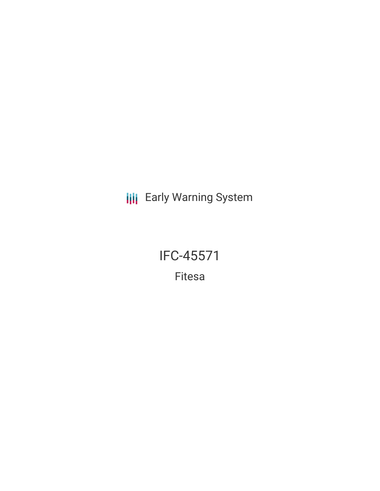**III** Early Warning System

IFC-45571 Fitesa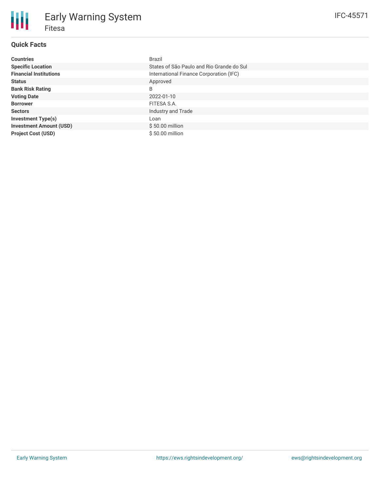## **Quick Facts**

| <b>Countries</b>               | <b>Brazil</b>                             |
|--------------------------------|-------------------------------------------|
| <b>Specific Location</b>       | States of São Paulo and Rio Grande do Sul |
| <b>Financial Institutions</b>  | International Finance Corporation (IFC)   |
| <b>Status</b>                  | Approved                                  |
| <b>Bank Risk Rating</b>        | B                                         |
| <b>Voting Date</b>             | 2022-01-10                                |
| <b>Borrower</b>                | FITESA S.A.                               |
| <b>Sectors</b>                 | Industry and Trade                        |
| <b>Investment Type(s)</b>      | Loan                                      |
| <b>Investment Amount (USD)</b> | $$50.00$ million                          |
| <b>Project Cost (USD)</b>      | \$50.00 million                           |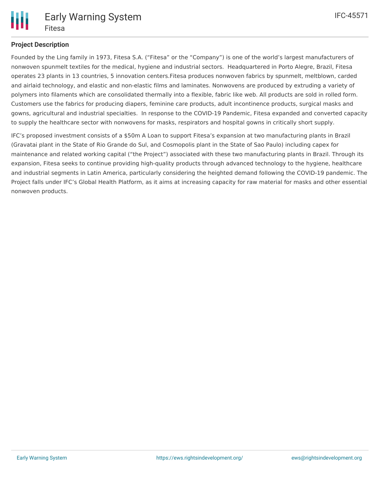

# **Project Description**

Founded by the Ling family in 1973, Fitesa S.A. ("Fitesa" or the "Company") is one of the world's largest manufacturers of nonwoven spunmelt textiles for the medical, hygiene and industrial sectors. Headquartered in Porto Alegre, Brazil, Fitesa operates 23 plants in 13 countries, 5 innovation centers.Fitesa produces nonwoven fabrics by spunmelt, meltblown, carded and airlaid technology, and elastic and non-elastic films and laminates. Nonwovens are produced by extruding a variety of polymers into filaments which are consolidated thermally into a flexible, fabric like web. All products are sold in rolled form. Customers use the fabrics for producing diapers, feminine care products, adult incontinence products, surgical masks and gowns, agricultural and industrial specialties. In response to the COVID-19 Pandemic, Fitesa expanded and converted capacity to supply the healthcare sector with nonwovens for masks, respirators and hospital gowns in critically short supply.

IFC's proposed investment consists of a \$50m A Loan to support Fitesa's expansion at two manufacturing plants in Brazil (Gravatai plant in the State of Rio Grande do Sul, and Cosmopolis plant in the State of Sao Paulo) including capex for maintenance and related working capital ("the Project") associated with these two manufacturing plants in Brazil. Through its expansion, Fitesa seeks to continue providing high-quality products through advanced technology to the hygiene, healthcare and industrial segments in Latin America, particularly considering the heighted demand following the COVID-19 pandemic. The Project falls under IFC's Global Health Platform, as it aims at increasing capacity for raw material for masks and other essential nonwoven products.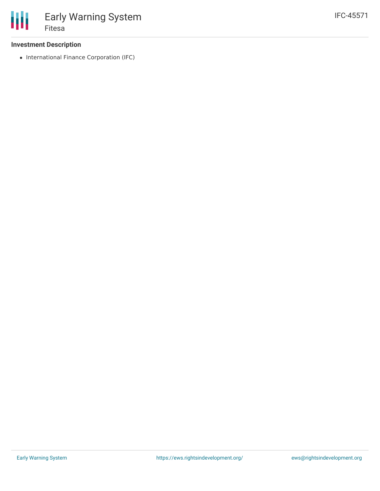

## **Investment Description**

• International Finance Corporation (IFC)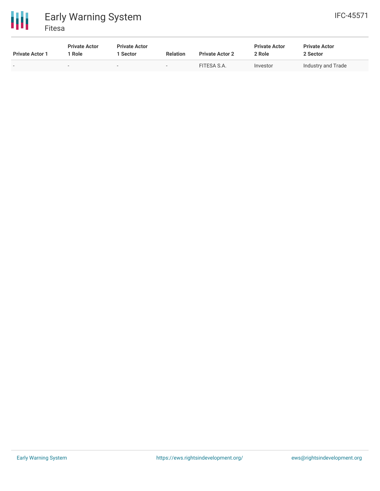

| <b>Private Actor 1</b> | <b>Private Actor</b><br>Role | <b>Private Actor</b><br>l Sector | <b>Relation</b>          | <b>Private Actor 2</b> | <b>Private Actor</b><br>2 Role | <b>Private Actor</b><br>2 Sector |
|------------------------|------------------------------|----------------------------------|--------------------------|------------------------|--------------------------------|----------------------------------|
|                        |                              | $\overline{\phantom{0}}$         | $\overline{\phantom{a}}$ | FITESA S.A.            | Investor                       | Industry and Trade               |